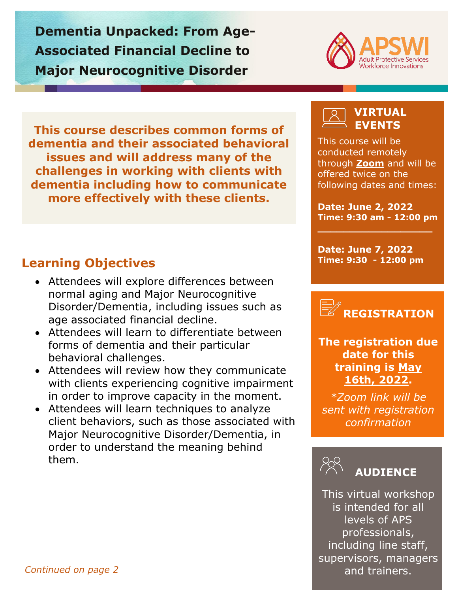**Dementia Unpacked: From Age-Associated Financial Decline to Major Neurocognitive Disorder** 



**This course describes common forms of dementia and their associated behavioral issues and will address many of the challenges in working with clients with dementia including how to communicate more effectively with these clients.**

# **Learning Objectives**

- Attendees will explore differences between normal aging and Major Neurocognitive Disorder/Dementia, including issues such as age associated financial decline.
- Attendees will learn to differentiate between forms of dementia and their particular behavioral challenges.
- Attendees will review how they communicate with clients experiencing cognitive impairment in order to improve capacity in the moment.
- Attendees will learn techniques to analyze client behaviors, such as those associated with Major Neurocognitive Disorder/Dementia, in order to understand the meaning behind them.

## **VIRTUAL EVENTS**

This course will be conducted remotely through **[Zoom](https://zoom.us/)** and will be offered twice on the following dates and times:

**Date: June 2, 2022 Time: 9:30 am - 12:00 pm**

**\_\_\_\_\_\_\_\_\_\_\_\_\_\_\_\_\_\_**

**Date: June 7, 2022 Time: 9:30 - 12:00 pm**



**The registration due date for this training is May 16th, 2022.**

*\*Zoom link will be sent with registration confirmation*



This virtual workshop is intended for all levels of APS professionals, including line staff, supervisors, managers and trainers.